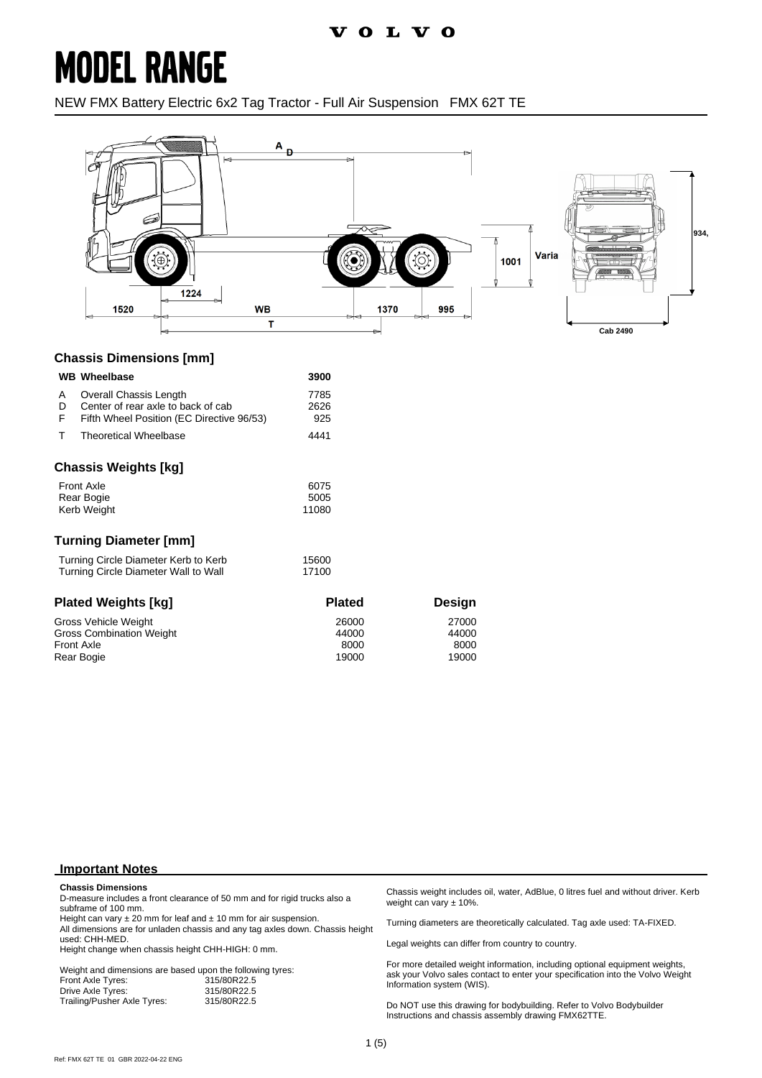### **MODEL RANGE**

NEW FMX Battery Electric 6x2 Tag Tractor - Full Air Suspension FMX 62T TE



#### **Chassis Dimensions [mm]**

| <b>WB</b> Wheelbase                                                                                                      | 3900                            |                                 |  |
|--------------------------------------------------------------------------------------------------------------------------|---------------------------------|---------------------------------|--|
| Overall Chassis Length<br>A<br>Center of rear axle to back of cab<br>D<br>F<br>Fifth Wheel Position (EC Directive 96/53) | 7785<br>2626<br>925             |                                 |  |
| т<br><b>Theoretical Wheelbase</b>                                                                                        | 4441                            |                                 |  |
| <b>Chassis Weights [kg]</b>                                                                                              |                                 |                                 |  |
| <b>Front Axle</b><br>Rear Bogie<br>Kerb Weight                                                                           | 6075<br>5005<br>11080           |                                 |  |
| <b>Turning Diameter [mm]</b>                                                                                             |                                 |                                 |  |
| Turning Circle Diameter Kerb to Kerb<br>Turning Circle Diameter Wall to Wall                                             | 15600<br>17100                  |                                 |  |
| <b>Plated Weights [kg]</b>                                                                                               | <b>Plated</b>                   | <b>Design</b>                   |  |
| Gross Vehicle Weight<br>Gross Combination Weight<br><b>Front Axle</b><br>Rear Bogie                                      | 26000<br>44000<br>8000<br>19000 | 27000<br>44000<br>8000<br>19000 |  |

#### **Important Notes**

#### **Chassis Dimensions**

D-measure includes a front clearance of 50 mm and for rigid trucks also a subframe of 100 mm.

Height can vary  $\pm 20$  mm for leaf and  $\pm 10$  mm for air suspension. All dimensions are for unladen chassis and any tag axles down. Chassis height used: CHH-MED.

Height change when chassis height CHH-HIGH: 0 mm.

Weight and dimensions are based upon the following tyres:<br>Front Axle Tyres: 315/80R22.5 Front Axle Tyres: 315/80R22.5 Drive Axle Tyres: 315/80R22.5<br>Trailing/Pusher Axle Tyres: 315/80R22.5 Trailing/Pusher Axle Tyres:

Chassis weight includes oil, water, AdBlue, 0 litres fuel and without driver. Kerb weight can vary ± 10%.

Turning diameters are theoretically calculated. Tag axle used: TA-FIXED.

Legal weights can differ from country to country.

For more detailed weight information, including optional equipment weights, ask your Volvo sales contact to enter your specification into the Volvo Weight Information system (WIS).

Do NOT use this drawing for bodybuilding. Refer to Volvo Bodybuilder Instructions and chassis assembly drawing FMX62TTE.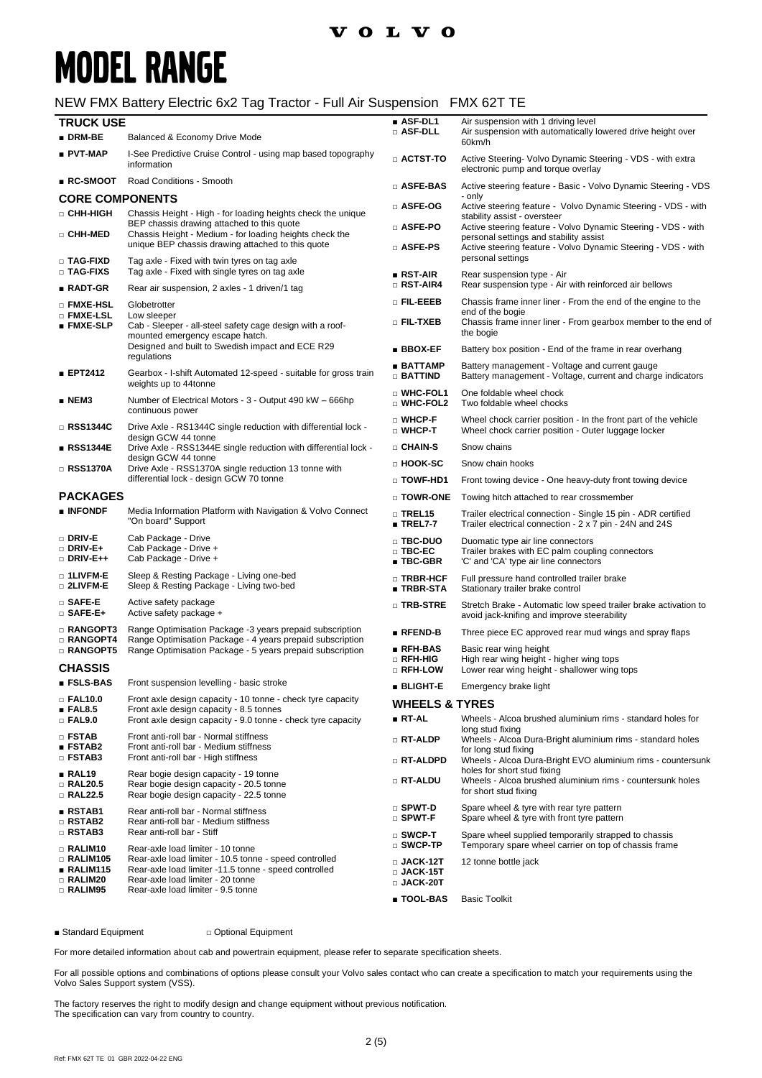# **MODEL RANGE**

#### NEW FMX Battery Electric 6x2 Tag Tractor - Full Air Suspension FMX 62T TE

| <b>TRUCK USE</b><br>$\blacksquare$ DRM-BE             | Balanced & Economy Drive Mode                                                                                                                                                              | ■ ASF-DL1<br>□ ASF-DLL                                               | Air suspension with 1 driving level<br>Air suspension with automatically lowered drive height over<br>60km/h                                                                     |  |
|-------------------------------------------------------|--------------------------------------------------------------------------------------------------------------------------------------------------------------------------------------------|----------------------------------------------------------------------|----------------------------------------------------------------------------------------------------------------------------------------------------------------------------------|--|
| ■ PVT-MAP                                             | I-See Predictive Cruise Control - using map based topography<br>information                                                                                                                | $\Box$ ACTST-TO                                                      | Active Steering- Volvo Dynamic Steering - VDS - with extra<br>electronic pump and torque overlay                                                                                 |  |
| $R$ C-SMOOT                                           | Road Conditions - Smooth                                                                                                                                                                   | □ ASFE-BAS                                                           | Active steering feature - Basic - Volvo Dynamic Steering - VDS                                                                                                                   |  |
|                                                       | <b>CORE COMPONENTS</b>                                                                                                                                                                     |                                                                      | - only                                                                                                                                                                           |  |
| □ CHH-HIGH                                            | Chassis Height - High - for loading heights check the unique                                                                                                                               | □ ASFE-OG                                                            | Active steering feature - Volvo Dynamic Steering - VDS - with<br>stability assist - oversteer                                                                                    |  |
| □ CHH-MED                                             | BEP chassis drawing attached to this quote<br>Chassis Height - Medium - for loading heights check the<br>unique BEP chassis drawing attached to this quote                                 | □ ASFE-PO<br>□ ASFE-PS                                               | Active steering feature - Volvo Dynamic Steering - VDS - with<br>personal settings and stability assist<br>Active steering feature - Volvo Dynamic Steering - VDS - with         |  |
| <b>D</b> TAG-FIXD<br>□ TAG-FIXS                       | Tag axle - Fixed with twin tyres on tag axle<br>Tag axle - Fixed with single tyres on tag axle                                                                                             | $RST-AIR$                                                            | personal settings                                                                                                                                                                |  |
| $RADT-GR$                                             | Rear air suspension, 2 axles - 1 driven/1 tag                                                                                                                                              | □ RST-AIR4                                                           | Rear suspension type - Air<br>Rear suspension type - Air with reinforced air bellows                                                                                             |  |
| □ FMXE-HSL                                            | Globetrotter                                                                                                                                                                               | o Fil-EEEB                                                           | Chassis frame inner liner - From the end of the engine to the                                                                                                                    |  |
| □ FMXE-LSL<br>$\blacksquare$ FMXE-SLP                 | Low sleeper<br>Cab - Sleeper - all-steel safety cage design with a roof-<br>mounted emergency escape hatch.                                                                                | □ FIL-TXEB                                                           | end of the bogie<br>Chassis frame inner liner - From gearbox member to the end of<br>the bogie                                                                                   |  |
|                                                       | Designed and built to Swedish impact and ECE R29<br>regulations                                                                                                                            | $\blacksquare$ BBOX-EF                                               | Battery box position - End of the frame in rear overhang                                                                                                                         |  |
| ■ EPT2412                                             | Gearbox - I-shift Automated 12-speed - suitable for gross train<br>weights up to 44tonne                                                                                                   | $\blacksquare$ BATTAMP<br>□ BATTIND                                  | Battery management - Voltage and current gauge<br>Battery management - Voltage, current and charge indicators                                                                    |  |
| $\blacksquare$ NEM3                                   | Number of Electrical Motors - 3 - Output 490 kW - 666hp<br>continuous power                                                                                                                | □ WHC-FOL1<br>$\square$ WHC-FOL2                                     | One foldable wheel chock<br>Two foldable wheel chocks                                                                                                                            |  |
| □ RSS1344C                                            | Drive Axle - RS1344C single reduction with differential lock -<br>design GCW 44 tonne                                                                                                      | □ WHCP-F<br>$\square$ WHCP-T                                         | Wheel chock carrier position - In the front part of the vehicle<br>Wheel chock carrier position - Outer luggage locker                                                           |  |
| ∎ RSS1344E                                            | Drive Axle - RSS1344E single reduction with differential lock -                                                                                                                            | $\Box$ CHAIN-S                                                       | Snow chains                                                                                                                                                                      |  |
| $\Box$ RSS1370A                                       | design GCW 44 tonne<br>Drive Axle - RSS1370A single reduction 13 tonne with<br>differential lock - design GCW 70 tonne                                                                     | □ HOOK-SC                                                            | Snow chain hooks                                                                                                                                                                 |  |
|                                                       |                                                                                                                                                                                            | □ TOWF-HD1                                                           | Front towing device - One heavy-duty front towing device                                                                                                                         |  |
| <b>PACKAGES</b>                                       |                                                                                                                                                                                            | □ TOWR-ONE                                                           | Towing hitch attached to rear crossmember                                                                                                                                        |  |
| $\blacksquare$ INFONDF                                | Media Information Platform with Navigation & Volvo Connect<br>"On board" Support                                                                                                           | $\Box$ TREL15<br>$\blacksquare$ TREL7-7                              | Trailer electrical connection - Single 15 pin - ADR certified<br>Trailer electrical connection - 2 x 7 pin - 24N and 24S                                                         |  |
| $\square$ Driv-E<br>$\Box$ DRIV-E+<br>$\Box$ DRIV-E++ | Cab Package - Drive<br>Cab Package - Drive +<br>Cab Package - Drive +                                                                                                                      | □ TBC-DUO<br>$\square$ TBC-EC<br>$\blacksquare$ TBC-GBR              | Duomatic type air line connectors<br>Trailer brakes with EC palm coupling connectors<br>'C' and 'CA' type air line connectors                                                    |  |
| □ 1LIVFM-E<br>$\square$ 2LIVFM-E                      | Sleep & Resting Package - Living one-bed<br>Sleep & Resting Package - Living two-bed                                                                                                       | □ TRBR-HCF<br>∎ TRBR-STA                                             | Full pressure hand controlled trailer brake<br>Stationary trailer brake control                                                                                                  |  |
| $\square$ SAFE-E<br>$\square$ SAFE-E+                 | Active safety package<br>Active safety package +                                                                                                                                           | □ TRB-STRE                                                           | Stretch Brake - Automatic low speed trailer brake activation to<br>avoid jack-knifing and improve steerability                                                                   |  |
| □ RANGOPT3<br><b>RANGOPT4</b>                         | Range Optimisation Package -3 years prepaid subscription                                                                                                                                   | $\blacksquare$ RFEND-B                                               | Three piece EC approved rear mud wings and spray flaps                                                                                                                           |  |
| <b>RANGOPT5</b>                                       | Range Optimisation Package - 4 years prepaid subscription<br>Range Optimisation Package - 5 years prepaid subscription                                                                     | $RFH-BAS$<br>□ RFH-HIG                                               | Basic rear wing height<br>High rear wing height - higher wing tops                                                                                                               |  |
| <b>CHASSIS</b><br>$\blacksquare$ FSLS-BAS             | Front suspension levelling - basic stroke                                                                                                                                                  | $\square$ RFH-LOW                                                    | Lower rear wing height - shallower wing tops                                                                                                                                     |  |
| $\Box$ FAL10.0                                        | Front axle design capacity - 10 tonne - check tyre capacity                                                                                                                                | ■ BLIGHT-E                                                           | Emergency brake light                                                                                                                                                            |  |
| FAL8.5                                                | Front axle design capacity - 8.5 tonnes                                                                                                                                                    | <b>WHEELS &amp; TYRES</b>                                            |                                                                                                                                                                                  |  |
| $\Box$ FAL9.0                                         | Front axle design capacity - 9.0 tonne - check tyre capacity                                                                                                                               | ∎ RT-AL                                                              | Wheels - Alcoa brushed aluminium rims - standard holes for<br>long stud fixing                                                                                                   |  |
| $\Box$ FSTAB<br><b>ESTAB2</b><br>□ FSTAB3             | Front anti-roll bar - Normal stiffness<br>Front anti-roll bar - Medium stiffness<br>Front anti-roll bar - High stiffness                                                                   | $\Box$ RT-ALDP<br>□ RT-ALDPD                                         | Wheels - Alcoa Dura-Bright aluminium rims - standard holes<br>for long stud fixing                                                                                               |  |
| RAL19<br>$\Box$ RAL20.5<br>□ RAL22.5                  | Rear bogie design capacity - 19 tonne<br>Rear bogie design capacity - 20.5 tonne<br>Rear bogie design capacity - 22.5 tonne                                                                | □ RT-ALDU                                                            | Wheels - Alcoa Dura-Bright EVO aluminium rims - countersunk<br>holes for short stud fixing<br>Wheels - Alcoa brushed aluminium rims - countersunk holes<br>for short stud fixing |  |
| RSTAB1<br>□ RSTAB2                                    | Rear anti-roll bar - Normal stiffness<br>Rear anti-roll bar - Medium stiffness                                                                                                             | $\square$ SPWT-D<br>$\square$ SPWT-F                                 | Spare wheel & tyre with rear tyre pattern<br>Spare wheel & tyre with front tyre pattern                                                                                          |  |
| $\Box$ RSTAB3<br>$\Box$ RALIM10                       | Rear anti-roll bar - Stiff<br>Rear-axle load limiter - 10 tonne                                                                                                                            | $\square$ SWCP-T<br>$\square$ SWCP-TP                                | Spare wheel supplied temporarily strapped to chassis<br>Temporary spare wheel carrier on top of chassis frame                                                                    |  |
| $\Box$ RALIM105<br>RALIM115<br>□ RALIM20<br>□ RALIM95 | Rear-axle load limiter - 10.5 tonne - speed controlled<br>Rear-axle load limiter -11.5 tonne - speed controlled<br>Rear-axle load limiter - 20 tonne<br>Rear-axle load limiter - 9.5 tonne | $\square$ JACK-12T<br>$\scriptstyle\Box$ JACK-15T<br>$\Box$ JACK-20T | 12 tonne bottle jack                                                                                                                                                             |  |
|                                                       |                                                                                                                                                                                            | ∎ TOOL-BAS                                                           | <b>Basic Toolkit</b>                                                                                                                                                             |  |

■ Standard Equipment □ Optional Equipment

For more detailed information about cab and powertrain equipment, please refer to separate specification sheets.

For all possible options and combinations of options please consult your Volvo sales contact who can create a specification to match your requirements using the Volvo Sales Support system (VSS).

The factory reserves the right to modify design and change equipment without previous notification. The specification can vary from country to country.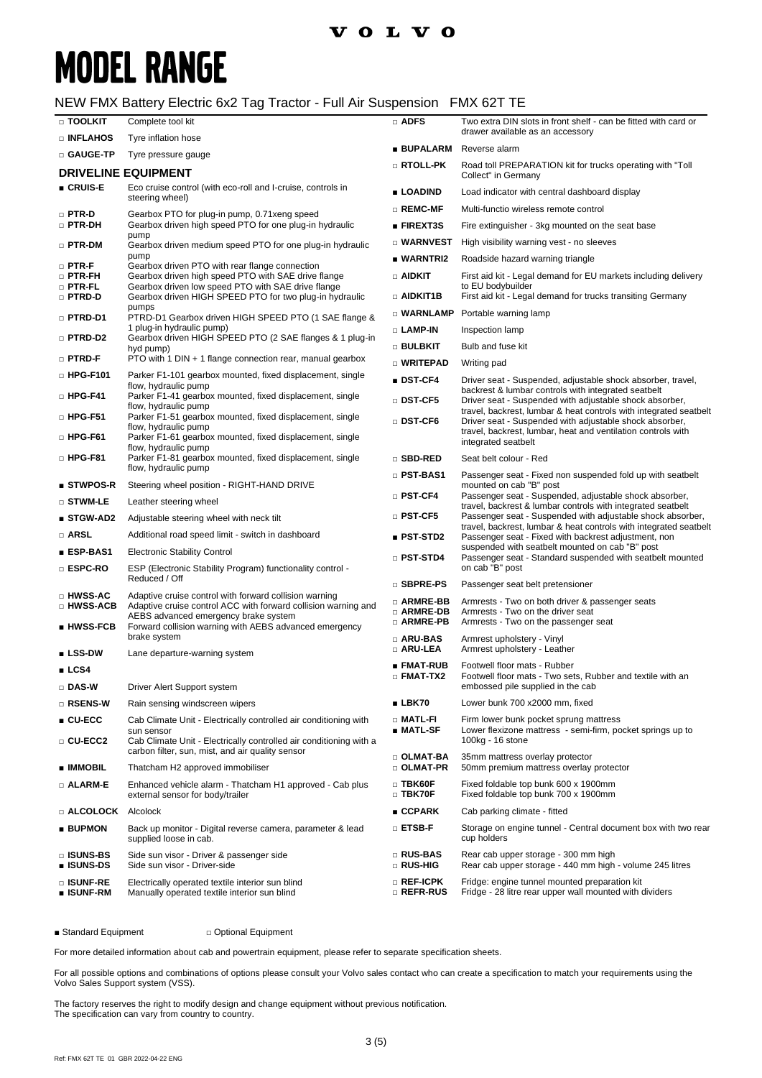# **MODEL RANGE**

### NEW FMX Battery Electric 6x2 Tag Tractor - Full Air Suspension FMX 62T TE

| □ TOOLKIT                         | Complete tool kit                                                                                                                                    | $\Box$ ADFS                            | Two extra DIN slots in front shelf - can be fitted with card or<br>drawer available as an accessory                          |  |
|-----------------------------------|------------------------------------------------------------------------------------------------------------------------------------------------------|----------------------------------------|------------------------------------------------------------------------------------------------------------------------------|--|
| □ INFLAHOS                        | Tyre inflation hose                                                                                                                                  | ∎ BUPALARM                             | Reverse alarm                                                                                                                |  |
| □ GAUGE-TP                        | Tyre pressure gauge                                                                                                                                  | □ RTOLL-PK                             | Road toll PREPARATION kit for trucks operating with "Toll                                                                    |  |
|                                   | <b>DRIVELINE EQUIPMENT</b>                                                                                                                           |                                        | Collect" in Germany                                                                                                          |  |
| ■ CRUIS-E                         | Eco cruise control (with eco-roll and I-cruise, controls in<br>steering wheel)                                                                       | ■ LOADIND                              | Load indicator with central dashboard display                                                                                |  |
| $\square$ PTR-D                   | Gearbox PTO for plug-in pump, 0.71 xeng speed                                                                                                        | $\Box$ REMC-MF                         | Multi-functio wireless remote control                                                                                        |  |
| $\square$ PTR-DH                  | Gearbox driven high speed PTO for one plug-in hydraulic<br>pump                                                                                      | $\blacksquare$ FIREXT3S                | Fire extinguisher - 3kg mounted on the seat base                                                                             |  |
| □ PTR-DM                          | Gearbox driven medium speed PTO for one plug-in hydraulic                                                                                            | $\square$ WARNVEST                     | High visibility warning vest - no sleeves                                                                                    |  |
| $\square$ PTR-F                   | pump<br>Gearbox driven PTO with rear flange connection                                                                                               | ■ WARNTRI2                             | Roadside hazard warning triangle                                                                                             |  |
| $\Box$ PTR-FH<br>$\square$ PTR-FL | Gearbox driven high speed PTO with SAE drive flange<br>Gearbox driven low speed PTO with SAE drive flange                                            |                                        | First aid kit - Legal demand for EU markets including delivery<br>to EU bodybuilder                                          |  |
| □ PTRD-D                          | Gearbox driven HIGH SPEED PTO for two plug-in hydraulic                                                                                              | $\Box$ aidkit1b                        | First aid kit - Legal demand for trucks transiting Germany                                                                   |  |
| □ PTRD-D1                         | pumps<br>PTRD-D1 Gearbox driven HIGH SPEED PTO (1 SAE flange &                                                                                       |                                        | □ WARNLAMP Portable warning lamp                                                                                             |  |
| □ PTRD-D2                         | 1 plug-in hydraulic pump)                                                                                                                            |                                        | Inspection lamp                                                                                                              |  |
|                                   | Gearbox driven HIGH SPEED PTO (2 SAE flanges & 1 plug-in<br>hyd pump)                                                                                | $\square$ bulbkit                      | Bulb and fuse kit                                                                                                            |  |
| $\square$ PTRD-F                  | PTO with 1 DIN + 1 flange connection rear, manual gearbox                                                                                            | □ WRITEPAD                             | Writing pad                                                                                                                  |  |
| $\Box$ HPG-F101                   | Parker F1-101 gearbox mounted, fixed displacement, single<br>flow, hydraulic pump                                                                    | ∎ DST-CF4                              | Driver seat - Suspended, adjustable shock absorber, travel,                                                                  |  |
| $\Box$ HPG-F41                    | Parker F1-41 gearbox mounted, fixed displacement, single<br>flow, hydraulic pump                                                                     | $\square$ DST-CF5                      | backrest & lumbar controls with integrated seatbelt<br>Driver seat - Suspended with adjustable shock absorber,               |  |
| $\Box$ HPG-F51                    | Parker F1-51 gearbox mounted, fixed displacement, single                                                                                             | $\square$ DST-CF6                      | travel, backrest, lumbar & heat controls with integrated seatbelt<br>Driver seat - Suspended with adjustable shock absorber, |  |
| $\Box$ HPG-F61                    | flow, hydraulic pump<br>Parker F1-61 gearbox mounted, fixed displacement, single<br>flow, hydraulic pump                                             |                                        | travel, backrest, lumbar, heat and ventilation controls with<br>integrated seatbelt                                          |  |
| $\Box$ HPG-F81                    | Parker F1-81 gearbox mounted, fixed displacement, single<br>flow, hydraulic pump                                                                     | □ SBD-RED                              | Seat belt colour - Red                                                                                                       |  |
| ■ STWPOS-R                        | Steering wheel position - RIGHT-HAND DRIVE                                                                                                           | $\square$ PST-BAS1                     | Passenger seat - Fixed non suspended fold up with seatbelt<br>mounted on cab "B" post                                        |  |
| $\square$ stwm-le                 | Leather steering wheel                                                                                                                               | $\square$ PST-CF4                      | Passenger seat - Suspended, adjustable shock absorber,<br>travel, backrest & lumbar controls with integrated seatbelt        |  |
| ■ STGW-AD2                        | Adjustable steering wheel with neck tilt                                                                                                             | $\square$ PST-CF5                      | Passenger seat - Suspended with adjustable shock absorber,                                                                   |  |
| □ ARSL                            | Additional road speed limit - switch in dashboard                                                                                                    | ■ PST-STD2                             | travel, backrest, lumbar & heat controls with integrated seatbelt<br>Passenger seat - Fixed with backrest adjustment, non    |  |
| ∎ ESP-BAS1                        | <b>Electronic Stability Control</b>                                                                                                                  | $\square$ PST-STD4                     | suspended with seatbelt mounted on cab "B" post<br>Passenger seat - Standard suspended with seatbelt mounted                 |  |
| □ ESPC-RO                         | ESP (Electronic Stability Program) functionality control -<br>Reduced / Off                                                                          |                                        | on cab "B" post                                                                                                              |  |
| □ HWSS-AC                         | Adaptive cruise control with forward collision warning                                                                                               | □ SBPRE-PS                             | Passenger seat belt pretensioner                                                                                             |  |
| □ HWSS-ACB                        | Adaptive cruise control ACC with forward collision warning and<br>AEBS advanced emergency brake system                                               | □ ARMRE-BB<br>□ ARMRE-DB<br>□ ARMRE-PB | Armrests - Two on both driver & passenger seats<br>Armrests - Two on the driver seat<br>Armrests - Two on the passenger seat |  |
| ∎ HWSS-FCB                        | Forward collision warning with AEBS advanced emergency<br>brake system                                                                               | $\square$ ARU-BAS                      | Armrest upholstery - Vinyl                                                                                                   |  |
| $\blacksquare$ LSS-DW             | Lane departure-warning system                                                                                                                        | □ ARU-LEA                              | Armrest upholstery - Leather                                                                                                 |  |
| LCS4                              |                                                                                                                                                      | ■ FMAT-RUB<br>$\square$ FMAT-TX2       | Footwell floor mats - Rubber<br>Footwell floor mats - Two sets, Rubber and textile with an                                   |  |
| □ DAS-W                           | Driver Alert Support system                                                                                                                          |                                        | embossed pile supplied in the cab                                                                                            |  |
| □ RSENS-W                         | Rain sensing windscreen wipers                                                                                                                       | $\blacksquare$ LBK70                   | Lower bunk 700 x2000 mm, fixed                                                                                               |  |
| $CU$ -ECC<br>$\Box$ CU-ECC2       | Cab Climate Unit - Electrically controlled air conditioning with<br>sun sensor<br>Cab Climate Unit - Electrically controlled air conditioning with a | $\Box$ Matl-Fi<br>■ MATL-SF            | Firm lower bunk pocket sprung mattress<br>Lower flexizone mattress - semi-firm, pocket springs up to<br>100kg - 16 stone     |  |
|                                   | carbon filter, sun, mist, and air quality sensor                                                                                                     | □ OLMAT-BA                             | 35mm mattress overlay protector                                                                                              |  |
| <b>E</b> IMMOBIL                  | Thatcham H2 approved immobiliser                                                                                                                     | $\square$ OLMAT-PR                     | 50mm premium mattress overlay protector                                                                                      |  |
| $\Box$ ALARM-E                    | Enhanced vehicle alarm - Thatcham H1 approved - Cab plus<br>external sensor for body/trailer                                                         | $\square$ TBK60F<br>$\Box$ TBK70F      | Fixed foldable top bunk 600 x 1900mm<br>Fixed foldable top bunk 700 x 1900mm                                                 |  |
| □ ALCOLOCK Alcolock               |                                                                                                                                                      | $\blacksquare$ CCPARK                  | Cab parking climate - fitted                                                                                                 |  |
| <b>BUPMON</b>                     | Back up monitor - Digital reverse camera, parameter & lead<br>supplied loose in cab.                                                                 | $\square$ etsb-f                       | Storage on engine tunnel - Central document box with two rear<br>cup holders                                                 |  |
| □ ISUNS-BS<br>■ ISUNS-DS          | Side sun visor - Driver & passenger side<br>Side sun visor - Driver-side                                                                             | □ RUS-BAS<br>□ RUS-HIG                 | Rear cab upper storage - 300 mm high<br>Rear cab upper storage - 440 mm high - volume 245 litres                             |  |
| □ ISUNF-RE<br>∎ ISUNF-RM          | Electrically operated textile interior sun blind<br>Manually operated textile interior sun blind                                                     | □ REF-ICPK<br>□ REFR-RUS               | Fridge: engine tunnel mounted preparation kit<br>Fridge - 28 litre rear upper wall mounted with dividers                     |  |
|                                   |                                                                                                                                                      |                                        |                                                                                                                              |  |

■ Standard Equipment □ Optional Equipment

For more detailed information about cab and powertrain equipment, please refer to separate specification sheets.

For all possible options and combinations of options please consult your Volvo sales contact who can create a specification to match your requirements using the Volvo Sales Support system (VSS).

The factory reserves the right to modify design and change equipment without previous notification. The specification can vary from country to country.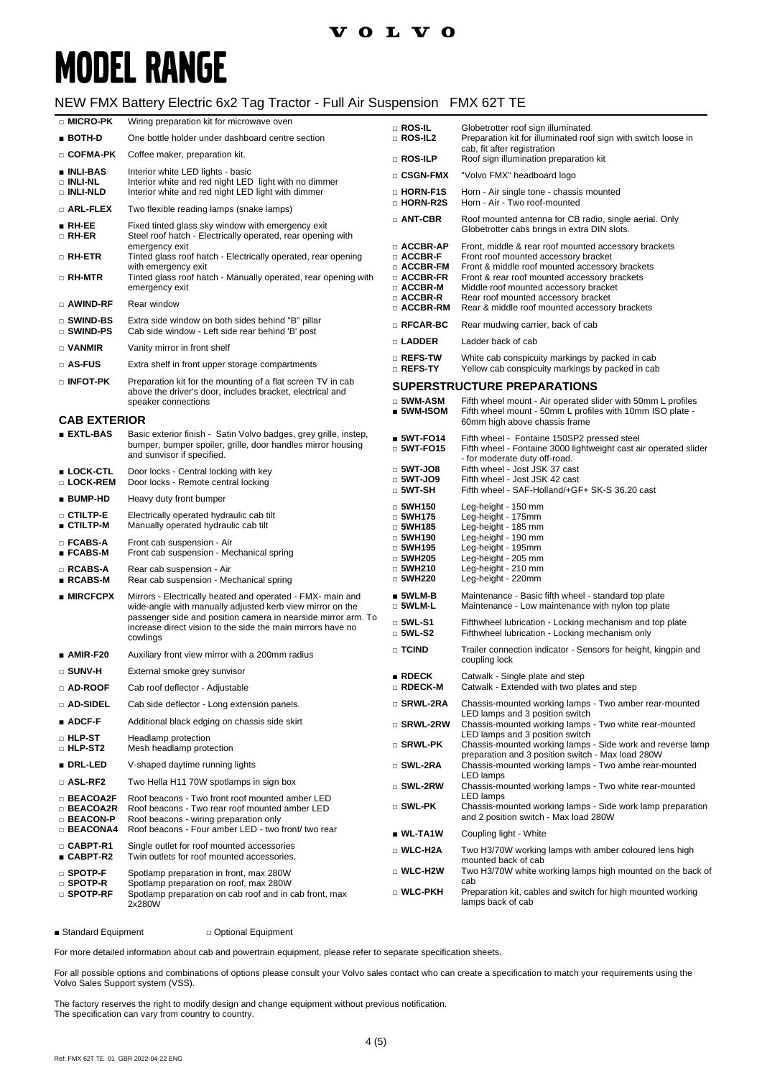### **VOLVO**

# **MODEL RANGE**

#### NEW FMX Battery Electric 6x2 Tag Tractor - Full Air Suspension FMX 62T TE

| □ ROS-IL<br>Globetrotter roof sign illuminated                                                                                                                                                                                                                                                                                                                                                           |                                                                                                |  |
|----------------------------------------------------------------------------------------------------------------------------------------------------------------------------------------------------------------------------------------------------------------------------------------------------------------------------------------------------------------------------------------------------------|------------------------------------------------------------------------------------------------|--|
| $\blacksquare$ BOTH-D<br>$\square$ ROS-IL2<br>Preparation kit for illuminated roof sign with switch loose in<br>One bottle holder under dashboard centre section                                                                                                                                                                                                                                         |                                                                                                |  |
| cab, fit after registration<br>□ COFMA-PK<br>Coffee maker, preparation kit.<br>$\square$ Ros-Ilp<br>Roof sign illumination preparation kit                                                                                                                                                                                                                                                               |                                                                                                |  |
| ∎ INLI-BAS<br>Interior white LED lights - basic<br>□ CSGN-FMX<br>"Volvo FMX" headboard logo                                                                                                                                                                                                                                                                                                              |                                                                                                |  |
| Interior white and red night LED light with no dimmer<br>□ INLI-NL<br>Interior white and red night LED light with dimmer<br>□ HORN-F1S<br>□ INLI-NLD<br>Horn - Air single tone - chassis mounted<br>□ HORN-R2S<br>Horn - Air - Two roof-mounted                                                                                                                                                          |                                                                                                |  |
| $\square$ arl-flex<br>Two flexible reading lamps (snake lamps)<br>$\Box$ ANT-CBR                                                                                                                                                                                                                                                                                                                         | Roof mounted antenna for CB radio, single aerial. Only                                         |  |
| $\blacksquare$ RH-EE<br>Fixed tinted glass sky window with emergency exit<br>Globetrotter cabs brings in extra DIN slots.<br>□ RH-ER<br>Steel roof hatch - Electrically operated, rear opening with<br>$\square$ ACCBR-AP<br>Front, middle & rear roof mounted accessory brackets                                                                                                                        |                                                                                                |  |
| emergency exit<br>$\Box$ RH-ETR<br>Tinted glass roof hatch - Electrically operated, rear opening<br>$\scriptstyle\Box$ ACCBR-F<br>Front roof mounted accessory bracket                                                                                                                                                                                                                                   |                                                                                                |  |
| $\Box$ ACCBR-FM<br>with emergency exit<br>Tinted glass roof hatch - Manually operated, rear opening with<br>$\Box$ ACCBR-FR<br>□ RH-MTR<br>emergency exit<br>□ ACCBR-M<br>Middle roof mounted accessory bracket                                                                                                                                                                                          | Front & middle roof mounted accessory brackets<br>Front & rear roof mounted accessory brackets |  |
| $\square$ ACCBR-R<br>Rear roof mounted accessory bracket<br>Rear window<br>□ AWIND-RF<br>$\square$ ACCBR-RM<br>Rear & middle roof mounted accessory brackets                                                                                                                                                                                                                                             |                                                                                                |  |
| $\square$ swind-bs<br>Extra side window on both sides behind "B" pillar<br>$\square$ RFCAR-BC<br>Rear mudwing carrier, back of cab<br>$\square$ swind-ps<br>Cab side window - Left side rear behind 'B' post                                                                                                                                                                                             |                                                                                                |  |
| □ LADDER<br>Ladder back of cab<br>□ VANMIR<br>Vanity mirror in front shelf                                                                                                                                                                                                                                                                                                                               |                                                                                                |  |
| $\square$ Refs-tw<br>White cab conspicuity markings by packed in cab<br>□ AS-FUS<br>Extra shelf in front upper storage compartments<br>$\square$ Refs-ty<br>Yellow cab conspicuity markings by packed in cab                                                                                                                                                                                             |                                                                                                |  |
| $\scriptstyle\Box$ infot-pk<br>Preparation kit for the mounting of a flat screen TV in cab<br><b>SUPERSTRUCTURE PREPARATIONS</b>                                                                                                                                                                                                                                                                         |                                                                                                |  |
| above the driver's door, includes bracket, electrical and<br>$\square$ 5WM-ASM<br>Fifth wheel mount - Air operated slider with 50mm L profiles<br>speaker connections                                                                                                                                                                                                                                    |                                                                                                |  |
| $\blacksquare$ 5WM-ISOM<br>Fifth wheel mount - 50mm L profiles with 10mm ISO plate -<br><b>CAB EXTERIOR</b><br>60mm high above chassis frame                                                                                                                                                                                                                                                             |                                                                                                |  |
| <b>EXTL-BAS</b><br>Basic exterior finish - Satin Volvo badges, grey grille, instep,<br>$$WT-FO14$$<br>Fifth wheel - Fontaine 150SP2 pressed steel                                                                                                                                                                                                                                                        |                                                                                                |  |
| bumper, bumper spoiler, grille, door handles mirror housing<br>$\Box$ 5WT-FO15<br>Fifth wheel - Fontaine 3000 lightweight cast air operated slider<br>and sunvisor if specified.<br>- for moderate duty off-road.                                                                                                                                                                                        |                                                                                                |  |
| $\Box$ 5WT-JO8<br>Fifth wheel - Jost JSK 37 cast<br>■ LOCK-CTL<br>Door locks - Central locking with key<br>$\Box$ 5WT-JO9<br>Fifth wheel - Jost JSK 42 cast<br>□ LOCK-REM<br>Door locks - Remote central locking<br>$\square$ 5WT-SH<br>Fifth wheel - SAF-Holland/+GF+ SK-S 36.20 cast                                                                                                                   |                                                                                                |  |
| ■ BUMP-HD<br>Heavy duty front bumper<br>$\Box$ 5WH150<br>Leg-height - 150 mm                                                                                                                                                                                                                                                                                                                             |                                                                                                |  |
| □ CTILTP-E<br>Electrically operated hydraulic cab tilt<br>$\Box$ 5WH175<br>Leg-height - 175mm<br>∎ CTILTP-M<br>Manually operated hydraulic cab tilt<br>$\Box$ 5WH185<br>Leg-height - 185 mm                                                                                                                                                                                                              |                                                                                                |  |
| $\Box$ 5WH190<br>Leg-height - 190 mm<br>□ FCABS-A<br>Front cab suspension - Air<br>$\Box$ 5WH195<br>Leg-height - 195mm<br>∎ FCABS-M<br>Front cab suspension - Mechanical spring<br>Leg-height - 205 mm<br>$\Box$ 5WH205                                                                                                                                                                                  |                                                                                                |  |
| $\Box$ 5WH210<br>Leg-height - 210 mm<br>□ RCABS-A<br>Rear cab suspension - Air<br>$\Box$ 5WH220<br>Leg-height - 220mm<br>$\blacksquare$ RCABS-M<br>Rear cab suspension - Mechanical spring                                                                                                                                                                                                               |                                                                                                |  |
| $\blacksquare$ 5WLM-B<br>Maintenance - Basic fifth wheel - standard top plate<br>$\blacksquare$ MIRCFCPX<br>Mirrors - Electrically heated and operated - FMX- main and<br>□ 5WLM-L<br>Maintenance - Low maintenance with nylon top plate<br>wide-angle with manually adjusted kerb view mirror on the                                                                                                    |                                                                                                |  |
| passenger side and position camera in nearside mirror arm. To<br>$\square$ 5WL-S1<br>Fifthwheel lubrication - Locking mechanism and top plate<br>increase direct vision to the side the main mirrors have no<br>$\Box$ 5WL-S2<br>Fifthwheel lubrication - Locking mechanism only<br>cowlings                                                                                                             |                                                                                                |  |
| $\square$ TCIND<br>Trailer connection indicator - Sensors for height, kingpin and<br>$\blacksquare$ AMIR-F20<br>Auxiliary front view mirror with a 200mm radius                                                                                                                                                                                                                                          |                                                                                                |  |
| coupling lock<br>$\square$ SUNV-H<br>External smoke grey sunvisor<br>RDECK                                                                                                                                                                                                                                                                                                                               |                                                                                                |  |
| Catwalk - Single plate and step<br>□ RDECK-M<br>Catwalk - Extended with two plates and step<br>□ AD-ROOF<br>Cab roof deflector - Adjustable                                                                                                                                                                                                                                                              |                                                                                                |  |
| □ SRWL-2RA<br>Chassis-mounted working lamps - Two amber rear-mounted<br>□ AD-SIDEL<br>Cab side deflector - Long extension panels.                                                                                                                                                                                                                                                                        |                                                                                                |  |
| LED lamps and 3 position switch<br>$\blacksquare$ ADCF-F<br>Additional black edging on chassis side skirt<br>Chassis-mounted working lamps - Two white rear-mounted<br>□ SRWL-2RW                                                                                                                                                                                                                        |                                                                                                |  |
| LED lamps and 3 position switch<br>$\scriptstyle\Box$ hlp st<br>Headlamp protection<br>$\scriptstyle\Box$ Srwl-PK<br>Chassis-mounted working lamps - Side work and reverse lamp<br><b>D</b> HLP-ST2<br>Mesh headlamp protection<br>preparation and 3 position switch - Max load 280W                                                                                                                     |                                                                                                |  |
| ■ DRL-LED<br>V-shaped daytime running lights<br>□ SWL-2RA<br>Chassis-mounted working lamps - Two ambe rear-mounted                                                                                                                                                                                                                                                                                       |                                                                                                |  |
| LED lamps<br>$\square$ ASL-RF2<br>Two Hella H11 70W spotlamps in sign box<br>Chassis-mounted working lamps - Two white rear-mounted<br>□ SWL-2RW                                                                                                                                                                                                                                                         |                                                                                                |  |
| LED lamps<br>$\square$ BEACOA2F<br>Roof beacons - Two front roof mounted amber LED<br>□ SWL-PK<br>$\Box$ BEACOA2R<br>Roof beacons - Two rear roof mounted amber LED<br>and 2 position switch - Max load 280W<br><b>BEACON-P</b><br>Roof beacons - wiring preparation only                                                                                                                                | Chassis-mounted working lamps - Side work lamp preparation                                     |  |
| $\Box$ BEACONA4<br>Roof beacons - Four amber LED - two front/ two rear<br>$\_$ WL-TA1W<br>Coupling light - White                                                                                                                                                                                                                                                                                         |                                                                                                |  |
| $\square$ CABPT-R1<br>Single outlet for roof mounted accessories<br>□ WLC-H2A<br>Two H3/70W working lamps with amber coloured lens high<br>■ CABPT-R2<br>Twin outlets for roof mounted accessories.<br>mounted back of cab                                                                                                                                                                               |                                                                                                |  |
| Two H3/70W white working lamps high mounted on the back of<br>□ WLC-H2W<br>$\square$ Spotp-F<br>Spotlamp preparation in front, max 280W<br>cab<br>$\square$ spotp-r<br>Spotlamp preparation on roof, max 280W<br>□ WLC-PKH<br>Preparation kit, cables and switch for high mounted working<br>$\square$ spotp-rf<br>Spotlamp preparation on cab roof and in cab front, max<br>lamps back of cab<br>2x280W |                                                                                                |  |

■ Standard Equipment □ Optional Equipment

For more detailed information about cab and powertrain equipment, please refer to separate specification sheets.

For all possible options and combinations of options please consult your Volvo sales contact who can create a specification to match your requirements using the Volvo Sales Support system (VSS).

The factory reserves the right to modify design and change equipment without previous notification. The specification can vary from country to country.